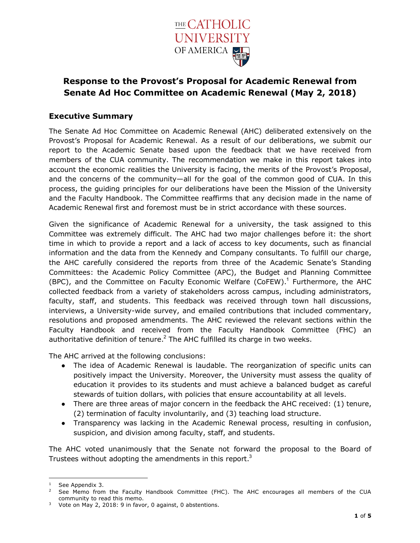

# **Response to the Provost's Proposal for Academic Renewal from Senate Ad Hoc Committee on Academic Renewal (May 2, 2018)**

### **Executive Summary**

The Senate Ad Hoc Committee on Academic Renewal (AHC) deliberated extensively on the Provost's Proposal for Academic Renewal. As a result of our deliberations, we submit our report to the Academic Senate based upon the feedback that we have received from members of the CUA community. The recommendation we make in this report takes into account the economic realities the University is facing, the merits of the Provost's Proposal, and the concerns of the community—all for the goal of the common good of CUA. In this process, the guiding principles for our deliberations have been the Mission of the University and the Faculty Handbook. The Committee reaffirms that any decision made in the name of Academic Renewal first and foremost must be in strict accordance with these sources.

Given the significance of Academic Renewal for a university, the task assigned to this Committee was extremely difficult. The AHC had two major challenges before it: the short time in which to provide a report and a lack of access to key documents, such as financial information and the data from the Kennedy and Company consultants. To fulfill our charge, the AHC carefully considered the reports from three of the Academic Senate's Standing Committees: the Academic Policy Committee (APC), the Budget and Planning Committee (BPC), and the Committee on Faculty Economic Welfare (CoFEW).<sup>1</sup> Furthermore, the AHC collected feedback from a variety of stakeholders across campus, including administrators, faculty, staff, and students. This feedback was received through town hall discussions, interviews, a University-wide survey, and emailed contributions that included commentary, resolutions and proposed amendments. The AHC reviewed the relevant sections within the Faculty Handbook and received from the Faculty Handbook Committee (FHC) an authoritative definition of tenure. $<sup>2</sup>$  The AHC fulfilled its charge in two weeks.</sup>

The AHC arrived at the following conclusions:

- The idea of Academic Renewal is laudable. The reorganization of specific units can positively impact the University. Moreover, the University must assess the quality of education it provides to its students and must achieve a balanced budget as careful stewards of tuition dollars, with policies that ensure accountability at all levels.
- There are three areas of major concern in the feedback the AHC received: (1) tenure, (2) termination of faculty involuntarily, and (3) teaching load structure.
- Transparency was lacking in the Academic Renewal process, resulting in confusion, suspicion, and division among faculty, staff, and students.

The AHC voted unanimously that the Senate not forward the proposal to the Board of Trustees without adopting the amendments in this report.<sup>3</sup>

 $1$  See Appendix 3.

<sup>&</sup>lt;sup>2</sup> See Memo from the Faculty Handbook Committee (FHC). The AHC encourages all members of the CUA community to read this memo.

<sup>&</sup>lt;sup>3</sup> Vote on May 2, 2018: 9 in favor, 0 against, 0 abstentions.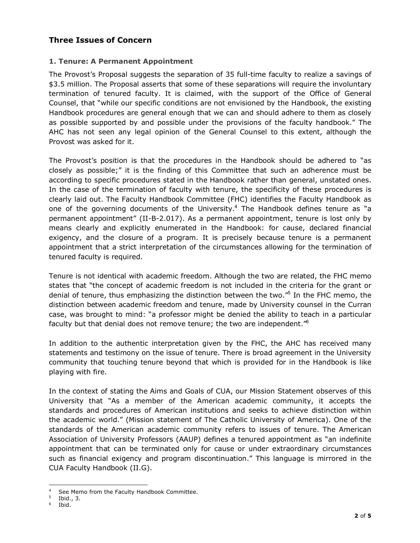### **Three Issues of Concern**

#### **1. Tenure: A Permanent Appointment**

The Provost's Proposal suggests the separation of 35 full-time faculty to realize a savings of \$3.5 million. The Proposal asserts that some of these separations will require the involuntary termination of tenured faculty. It is claimed, with the support of the Office of General Counsel, that "while our specific conditions are not envisioned by the Handbook, the existing Handbook procedures are general enough that we can and should adhere to them as closely as possible supported by and possible under the provisions of the faculty handbook." The AHC has not seen any legal opinion of the General Counsel to this extent, although the Provost was asked for it.

The Provost's position is that the procedures in the Handbook should be adhered to "as closely as possible;" it is the finding of this Committee that such an adherence must be according to specific procedures stated in the Handbook rather than general, unstated ones. In the case of the termination of faculty with tenure, the specificity of these procedures is clearly laid out. The Faculty Handbook Committee (FHC) identifies the Faculty Handbook as one of the governing documents of the University.<sup>4</sup> The Handbook defines tenure as "a permanent appointment" (II-B-2.017). As a permanent appointment, tenure is lost only by means clearly and explicitly enumerated in the Handbook: for cause, declared financial exigency, and the closure of a program. It is precisely because tenure is a permanent appointment that a strict interpretation of the circumstances allowing for the termination of tenured faculty is required.

Tenure is not identical with academic freedom. Although the two are related, the FHC memo states that "the concept of academic freedom is not included in the criteria for the grant or denial of tenure, thus emphasizing the distinction between the two."<sup>5</sup> In the FHC memo, the distinction between academic freedom and tenure, made by University counsel in the Curran case, was brought to mind: "a professor might be denied the ability to teach in a particular faculty but that denial does not remove tenure; the two are independent."<sup>6</sup>

In addition to the authentic interpretation given by the FHC, the AHC has received many statements and testimony on the issue of tenure. There is broad agreement in the University community that touching tenure beyond that which is provided for in the Handbook is like playing with fire.

In the context of stating the Aims and Goals of CUA, our Mission Statement observes of this University that "As a member of the American academic community, it accepts the standards and procedures of American institutions and seeks to achieve distinction within the academic world." (Mission statement of The Catholic University of America). One of the standards of the American academic community refers to issues of tenure. The American Association of University Professors (AAUP) defines a tenured appointment as "an indefinite appointment that can be terminated only for cause or under extraordinary circumstances such as financial exigency and program discontinuation." This language is mirrored in the CUA Faculty Handbook (II.G).

See Memo from the Faculty Handbook Committee.

 $\frac{5}{6}$  Ibid., 3.

Ibid.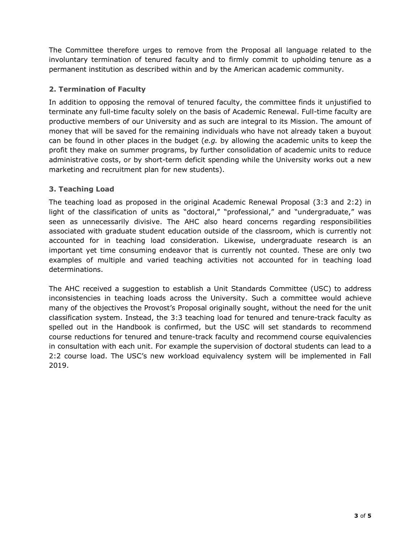The Committee therefore urges to remove from the Proposal all language related to the involuntary termination of tenured faculty and to firmly commit to upholding tenure as a permanent institution as described within and by the American academic community.

### **2. Termination of Faculty**

In addition to opposing the removal of tenured faculty, the committee finds it unjustified to terminate any full-time faculty solely on the basis of Academic Renewal. Full-time faculty are productive members of our University and as such are integral to its Mission. The amount of money that will be saved for the remaining individuals who have not already taken a buyout can be found in other places in the budget (*e.g.* by allowing the academic units to keep the profit they make on summer programs, by further consolidation of academic units to reduce administrative costs, or by short-term deficit spending while the University works out a new marketing and recruitment plan for new students).

# **3. Teaching Load**

The teaching load as proposed in the original Academic Renewal Proposal (3:3 and 2:2) in light of the classification of units as "doctoral," "professional," and "undergraduate," was seen as unnecessarily divisive. The AHC also heard concerns regarding responsibilities associated with graduate student education outside of the classroom, which is currently not accounted for in teaching load consideration. Likewise, undergraduate research is an important yet time consuming endeavor that is currently not counted. These are only two examples of multiple and varied teaching activities not accounted for in teaching load determinations.

The AHC received a suggestion to establish a Unit Standards Committee (USC) to address inconsistencies in teaching loads across the University. Such a committee would achieve many of the objectives the Provost's Proposal originally sought, without the need for the unit classification system. Instead, the 3:3 teaching load for tenured and tenure-track faculty as spelled out in the Handbook is confirmed, but the USC will set standards to recommend course reductions for tenured and tenure-track faculty and recommend course equivalencies in consultation with each unit. For example the supervision of doctoral students can lead to a 2:2 course load. The USC's new workload equivalency system will be implemented in Fall 2019.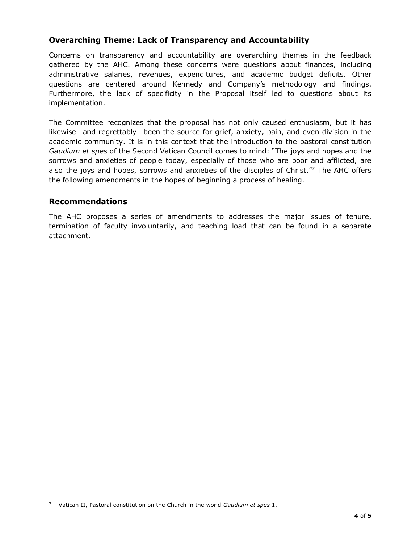### **Overarching Theme: Lack of Transparency and Accountability**

Concerns on transparency and accountability are overarching themes in the feedback gathered by the AHC. Among these concerns were questions about finances, including administrative salaries, revenues, expenditures, and academic budget deficits. Other questions are centered around Kennedy and Company's methodology and findings. Furthermore, the lack of specificity in the Proposal itself led to questions about its implementation.

The Committee recognizes that the proposal has not only caused enthusiasm, but it has likewise—and regrettably—been the source for grief, anxiety, pain, and even division in the academic community. It is in this context that the introduction to the pastoral constitution *Gaudium et spes* of the Second Vatican Council comes to mind: "The joys and hopes and the sorrows and anxieties of people today, especially of those who are poor and afflicted, are also the joys and hopes, sorrows and anxieties of the disciples of Christ."7 The AHC offers the following amendments in the hopes of beginning a process of healing.

#### **Recommendations**

The AHC proposes a series of amendments to addresses the major issues of tenure, termination of faculty involuntarily, and teaching load that can be found in a separate attachment.

<sup>7</sup> Vatican II, Pastoral constitution on the Church in the world *Gaudium et spes* 1.